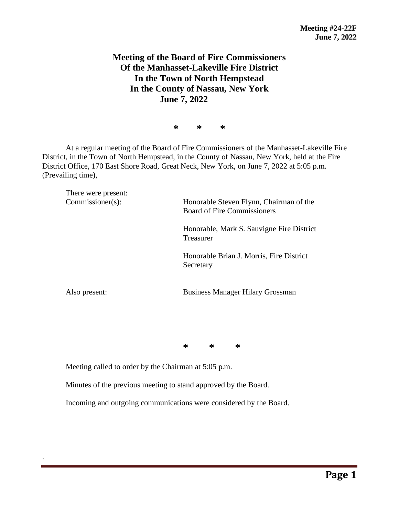## **Meeting of the Board of Fire Commissioners Of the Manhasset-Lakeville Fire District In the Town of North Hempstead In the County of Nassau, New York June 7, 2022**

**\* \* \***

At a regular meeting of the Board of Fire Commissioners of the Manhasset-Lakeville Fire District, in the Town of North Hempstead, in the County of Nassau, New York, held at the Fire District Office, 170 East Shore Road, Great Neck, New York, on June 7, 2022 at 5:05 p.m. (Prevailing time),

| There were present:<br>$Commissioner(s)$ : | Honorable Steven Flynn, Chairman of the<br><b>Board of Fire Commissioners</b> |  |  |
|--------------------------------------------|-------------------------------------------------------------------------------|--|--|
|                                            | Honorable, Mark S. Sauvigne Fire District<br>Treasurer                        |  |  |
|                                            | Honorable Brian J. Morris, Fire District<br>Secretary                         |  |  |
| Also present:                              | <b>Business Manager Hilary Grossman</b>                                       |  |  |

**\* \* \***

Meeting called to order by the Chairman at 5:05 p.m.

.

Minutes of the previous meeting to stand approved by the Board.

Incoming and outgoing communications were considered by the Board.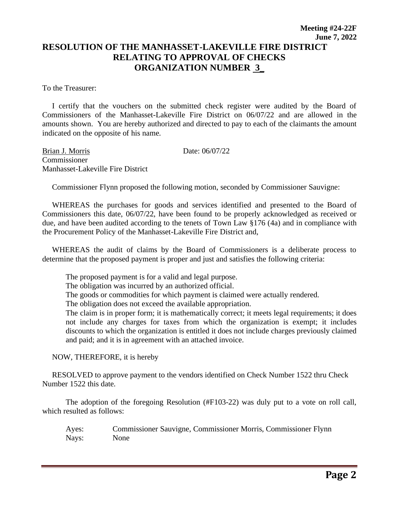To the Treasurer:

 I certify that the vouchers on the submitted check register were audited by the Board of Commissioners of the Manhasset-Lakeville Fire District on 06/07/22 and are allowed in the amounts shown. You are hereby authorized and directed to pay to each of the claimants the amount indicated on the opposite of his name.

Brian J. Morris Date: 06/07/22 Commissioner Manhasset-Lakeville Fire District

Commissioner Flynn proposed the following motion, seconded by Commissioner Sauvigne:

 WHEREAS the purchases for goods and services identified and presented to the Board of Commissioners this date, 06/07/22, have been found to be properly acknowledged as received or due, and have been audited according to the tenets of Town Law §176 (4a) and in compliance with the Procurement Policy of the Manhasset-Lakeville Fire District and,

 WHEREAS the audit of claims by the Board of Commissioners is a deliberate process to determine that the proposed payment is proper and just and satisfies the following criteria:

The proposed payment is for a valid and legal purpose.

The obligation was incurred by an authorized official.

The goods or commodities for which payment is claimed were actually rendered.

The obligation does not exceed the available appropriation.

The claim is in proper form; it is mathematically correct; it meets legal requirements; it does not include any charges for taxes from which the organization is exempt; it includes discounts to which the organization is entitled it does not include charges previously claimed and paid; and it is in agreement with an attached invoice.

NOW, THEREFORE, it is hereby

 RESOLVED to approve payment to the vendors identified on Check Number 1522 thru Check Number 1522 this date.

The adoption of the foregoing Resolution (#F103-22) was duly put to a vote on roll call, which resulted as follows:

Ayes: Commissioner Sauvigne, Commissioner Morris, Commissioner Flynn Nays: None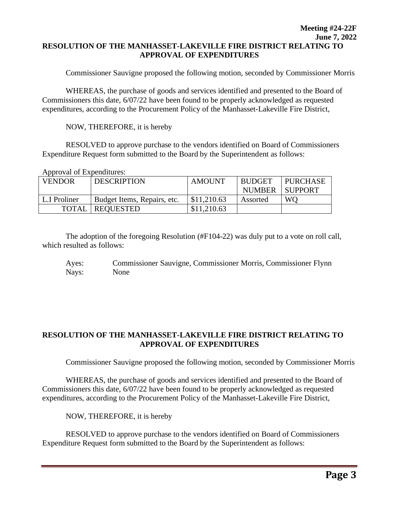## **Meeting #24-22F June 7, 2022 RESOLUTION OF THE MANHASSET-LAKEVILLE FIRE DISTRICT RELATING TO APPROVAL OF EXPENDITURES**

Commissioner Sauvigne proposed the following motion, seconded by Commissioner Morris

WHEREAS, the purchase of goods and services identified and presented to the Board of Commissioners this date, 6/07/22 have been found to be properly acknowledged as requested expenditures, according to the Procurement Policy of the Manhasset-Lakeville Fire District,

NOW, THEREFORE, it is hereby

RESOLVED to approve purchase to the vendors identified on Board of Commissioners Expenditure Request form submitted to the Board by the Superintendent as follows:

Approval of Expenditures:

| <b>VENDOR</b> | <b>DESCRIPTION</b>          | <b>AMOUNT</b> | <b>BUDGET</b> | <b>PURCHASE</b> |
|---------------|-----------------------------|---------------|---------------|-----------------|
|               |                             |               | NUMBER        | SUPPORT         |
| L.I Proliner  | Budget Items, Repairs, etc. | \$11,210.63   | Assorted      | WO.             |
| <b>TOTAL</b>  | <b>REQUESTED</b>            | \$11,210.63   |               |                 |

The adoption of the foregoing Resolution (#F104-22) was duly put to a vote on roll call, which resulted as follows:

Ayes: Commissioner Sauvigne, Commissioner Morris, Commissioner Flynn Nays: None

## **RESOLUTION OF THE MANHASSET-LAKEVILLE FIRE DISTRICT RELATING TO APPROVAL OF EXPENDITURES**

Commissioner Sauvigne proposed the following motion, seconded by Commissioner Morris

WHEREAS, the purchase of goods and services identified and presented to the Board of Commissioners this date, 6/07/22 have been found to be properly acknowledged as requested expenditures, according to the Procurement Policy of the Manhasset-Lakeville Fire District,

NOW, THEREFORE, it is hereby

RESOLVED to approve purchase to the vendors identified on Board of Commissioners Expenditure Request form submitted to the Board by the Superintendent as follows: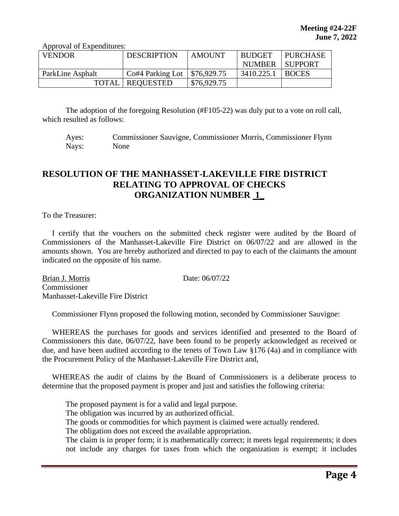Approval of Expenditures:

| <b>VENDOR</b>    | <b>DESCRIPTION</b>       | <b>AMOUNT</b>             | <b>BUDGET</b> | PURCHASE       |
|------------------|--------------------------|---------------------------|---------------|----------------|
|                  |                          |                           | <b>NUMBER</b> | <b>SUPPORT</b> |
| ParkLine Asphalt | Co#4 Parking Lot         | $\frac{1}{2}$ \$76,929.75 | 3410.225.1    | <b>BOCES</b>   |
|                  | <b>TOTAL   REQUESTED</b> | \$76,929.75               |               |                |

The adoption of the foregoing Resolution (#F105-22) was duly put to a vote on roll call, which resulted as follows:

Ayes: Commissioner Sauvigne, Commissioner Morris, Commissioner Flynn Nays: None

## **RESOLUTION OF THE MANHASSET-LAKEVILLE FIRE DISTRICT RELATING TO APPROVAL OF CHECKS ORGANIZATION NUMBER 1\_**

To the Treasurer:

 I certify that the vouchers on the submitted check register were audited by the Board of Commissioners of the Manhasset-Lakeville Fire District on 06/07/22 and are allowed in the amounts shown. You are hereby authorized and directed to pay to each of the claimants the amount indicated on the opposite of his name.

Brian J. Morris Date: 06/07/22 Commissioner Manhasset-Lakeville Fire District

Commissioner Flynn proposed the following motion, seconded by Commissioner Sauvigne:

 WHEREAS the purchases for goods and services identified and presented to the Board of Commissioners this date, 06/07/22, have been found to be properly acknowledged as received or due, and have been audited according to the tenets of Town Law §176 (4a) and in compliance with the Procurement Policy of the Manhasset-Lakeville Fire District and,

 WHEREAS the audit of claims by the Board of Commissioners is a deliberate process to determine that the proposed payment is proper and just and satisfies the following criteria:

The proposed payment is for a valid and legal purpose.

The obligation was incurred by an authorized official.

The goods or commodities for which payment is claimed were actually rendered.

The obligation does not exceed the available appropriation.

The claim is in proper form; it is mathematically correct; it meets legal requirements; it does not include any charges for taxes from which the organization is exempt; it includes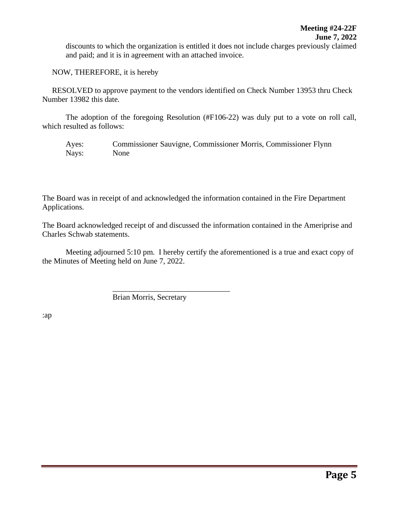discounts to which the organization is entitled it does not include charges previously claimed and paid; and it is in agreement with an attached invoice.

NOW, THEREFORE, it is hereby

 RESOLVED to approve payment to the vendors identified on Check Number 13953 thru Check Number 13982 this date.

The adoption of the foregoing Resolution (#F106-22) was duly put to a vote on roll call, which resulted as follows:

Ayes: Commissioner Sauvigne, Commissioner Morris, Commissioner Flynn Nays: None

The Board was in receipt of and acknowledged the information contained in the Fire Department Applications.

The Board acknowledged receipt of and discussed the information contained in the Ameriprise and Charles Schwab statements.

Meeting adjourned 5:10 pm. I hereby certify the aforementioned is a true and exact copy of the Minutes of Meeting held on June 7, 2022.

Brian Morris, Secretary

\_\_\_\_\_\_\_\_\_\_\_\_\_\_\_\_\_\_\_\_\_\_\_\_\_\_\_\_\_\_

:ap